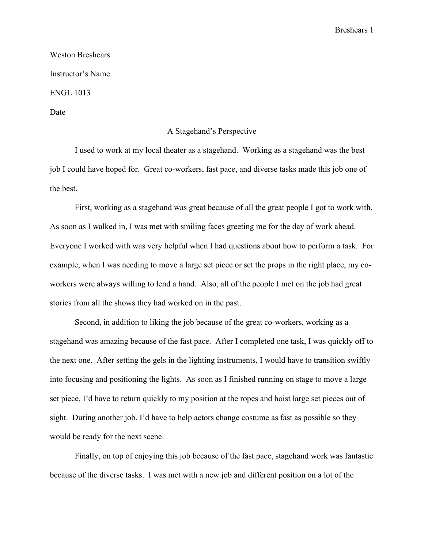Breshears 1

Weston Breshears Instructor's Name ENGL 1013 Date

## A Stagehand's Perspective

I used to work at my local theater as a stagehand. Working as a stagehand was the best job I could have hoped for. Great co-workers, fast pace, and diverse tasks made this job one of the best.

First, working as a stagehand was great because of all the great people I got to work with. As soon as I walked in, I was met with smiling faces greeting me for the day of work ahead. Everyone I worked with was very helpful when I had questions about how to perform a task. For example, when I was needing to move a large set piece or set the props in the right place, my coworkers were always willing to lend a hand. Also, all of the people I met on the job had great stories from all the shows they had worked on in the past.

Second, in addition to liking the job because of the great co-workers, working as a stagehand was amazing because of the fast pace. After I completed one task, I was quickly off to the next one. After setting the gels in the lighting instruments, I would have to transition swiftly into focusing and positioning the lights. As soon as I finished running on stage to move a large set piece, I'd have to return quickly to my position at the ropes and hoist large set pieces out of sight. During another job, I'd have to help actors change costume as fast as possible so they would be ready for the next scene.

Finally, on top of enjoying this job because of the fast pace, stagehand work was fantastic because of the diverse tasks. I was met with a new job and different position on a lot of the